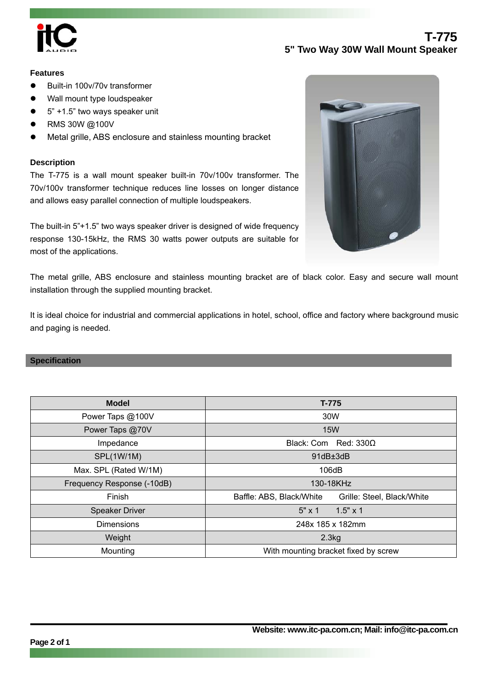

# **T-775 5" Two Way 30W Wall Mount Speaker**

### **Features**

- Built-in 100v/70v transformer
- Wall mount type loudspeaker
- 5" +1.5" two ways speaker unit
- z RMS 30W @100V
- Metal grille, ABS enclosure and stainless mounting bracket

### **Description**

The T-775 is a wall mount speaker built-in 70v/100v transformer. The 70v/100v transformer technique reduces line losses on longer distance and allows easy parallel connection of multiple loudspeakers.

The built-in 5"+1.5" two ways speaker driver is designed of wide frequency response 130-15kHz, the RMS 30 watts power outputs are suitable for most of the applications.



The metal grille, ABS enclosure and stainless mounting bracket are of black color. Easy and secure wall mount installation through the supplied mounting bracket.

It is ideal choice for industrial and commercial applications in hotel, school, office and factory where background music and paging is needed.

#### **Specification**

| <b>Model</b>               | T-775                                                  |
|----------------------------|--------------------------------------------------------|
| Power Taps @100V           | 30W                                                    |
| Power Taps @70V            | <b>15W</b>                                             |
| Impedance                  | Black: Com Red: $330\Omega$                            |
| SPL(1W/1M)                 | 91dB±3dB                                               |
| Max. SPL (Rated W/1M)      | 106dB                                                  |
| Frequency Response (-10dB) | 130-18KHz                                              |
| Finish                     | Baffle: ABS, Black/White<br>Grille: Steel, Black/White |
| <b>Speaker Driver</b>      | $5" \times 1$<br>$1.5" \times 1$                       |
| <b>Dimensions</b>          | 248x 185 x 182mm                                       |
| Weight                     | 2.3kg                                                  |
| Mounting                   | With mounting bracket fixed by screw                   |